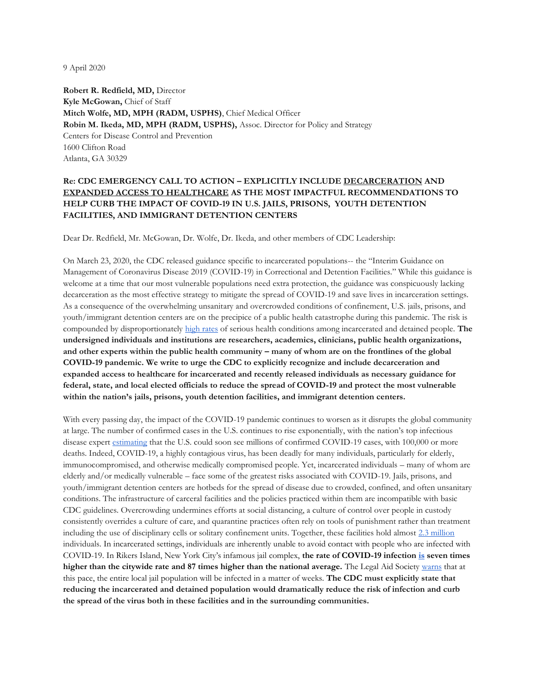9 April 2020

**Robert R. Redfield, MD,** Director **Kyle McGowan,** Chief of Staff **Mitch Wolfe, MD, MPH (RADM, USPHS)**, Chief Medical Officer **Robin M. Ikeda, MD, MPH (RADM, USPHS),** Assoc. Director for Policy and Strategy Centers for Disease Control and Prevention 1600 Clifton Road Atlanta, GA 30329

## **Re: CDC EMERGENCY CALL TO ACTION – EXPLICITLY INCLUDE DECARCERATION AND EXPANDED ACCESS TO HEALTHCARE AS THE MOST IMPACTFUL RECOMMENDATIONS TO HELP CURB THE IMPACT OF COVID-19 IN U.S. JAILS, PRISONS, YOUTH DETENTION FACILITIES, AND IMMIGRANT DETENTION CENTERS**

Dear Dr. Redfield, Mr. McGowan, Dr. Wolfe, Dr. Ikeda, and other members of CDC Leadership:

On March 23, 2020, the CDC released guidance specific to incarcerated populations-- the "Interim Guidance on Management of Coronavirus Disease 2019 (COVID-19) in Correctional and Detention Facilities." While this guidance is welcome at a time that our most vulnerable populations need extra protection, the guidance was conspicuously lacking decarceration as the most effective strategy to mitigate the spread of COVID-19 and save lives in incarceration settings. As a consequence of the overwhelming unsanitary and overcrowded conditions of confinement, U.S. jails, prisons, and youth/immigrant detention centers are on the precipice of a public health catastrophe during this pandemic. The risk is compounded by disproportionately [high rates](https://www.ncbi.nlm.nih.gov/pmc/articles/PMC4491502/) of serious health conditions among incarcerated and detained people. **The undersigned individuals and institutions are researchers, academics, clinicians, public health organizations, and other experts within the public health community – many of whom are on the frontlines of the global COVID-19 pandemic. We write to urge the CDC to explicitly recognize and include decarceration and expanded access to healthcare for incarcerated and recently released individuals as necessary guidance for federal, state, and local elected officials to reduce the spread of COVID-19 and protect the most vulnerable within the nation's jails, prisons, youth detention facilities, and immigrant detention centers.** 

With every passing day, the impact of the COVID-19 pandemic continues to worsen as it disrupts the global community at large. The number of confirmed cases in the U.S. continues to rise exponentially, with the nation's top infectious disease expert [estimating](https://www.cnn.com/2020/03/29/politics/coronavirus-deaths-cases-anthony-fauci-cnntv/index.html) that the U.S. could soon see millions of confirmed COVID-19 cases, with 100,000 or more deaths. Indeed, COVID-19, a highly contagious virus, has been deadly for many individuals, particularly for elderly, immunocompromised, and otherwise medically compromised people. Yet, incarcerated individuals – many of whom are elderly and/or medically vulnerable – face some of the greatest risks associated with COVID-19. Jails, prisons, and youth/immigrant detention centers are hotbeds for the spread of disease due to crowded, confined, and often unsanitary conditions. The infrastructure of carceral facilities and the policies practiced within them are incompatible with basic CDC guidelines. Overcrowding undermines efforts at social distancing, a culture of control over people in custody consistently overrides a culture of care, and quarantine practices often rely on tools of punishment rather than treatment including the use of disciplinary cells or solitary confinement units. Together, these facilities hold almost [2.3 million](https://www.prisonpolicy.org/reports/pie2020.html) individuals. In incarcerated settings, individuals are inherently unable to avoid contact with people who are infected with COVID-19. In Rikers Island, New York City's infamous jail complex, **the rate of COVID-19 infection [is](https://newyork.cbslocal.com/2020/03/26/coronavirus-rikers-island/) seven times higher than the citywide rate and 87 times higher than the national average.** The Legal Aid Society [warns](https://newyork.cbslocal.com/2020/03/26/coronavirus-rikers-island/) that at this pace, the entire local jail population will be infected in a matter of weeks. **The CDC must explicitly state that reducing the incarcerated and detained population would dramatically reduce the risk of infection and curb the spread of the virus both in these facilities and in the surrounding communities.**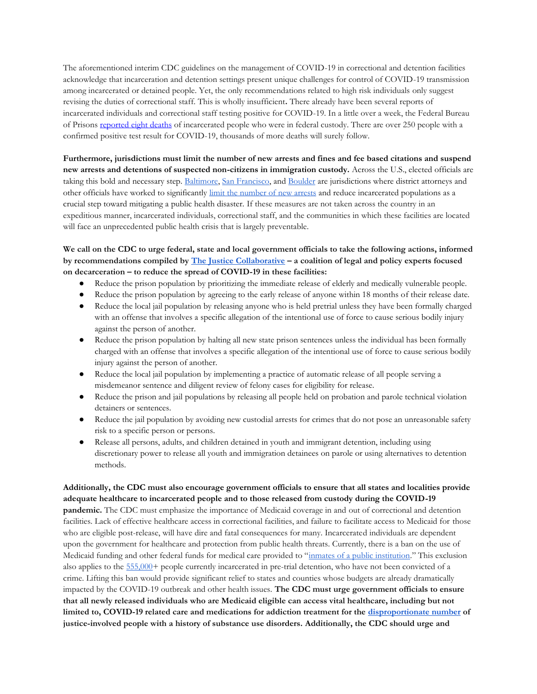The aforementioned interim CDC guidelines on the management of COVID-19 in correctional and detention facilities acknowledge that incarceration and detention settings present unique challenges for control of COVID-19 transmission among incarcerated or detained people. Yet, the only recommendations related to high risk individuals only suggest revising the duties of correctional staff. This is wholly insufficient**.** There already have been several reports of incarcerated individuals and correctional staff testing positive for COVID-19. In a little over a week, the Federal Bureau of Prisons [reported eight deaths](https://www.bop.gov/mobile/news/press_releases.jsp) of incarcerated people who were in federal custody. There are over 250 people with a confirmed positive test result for COVID-19, thousands of more deaths will surely follow.

**Furthermore, jurisdictions must limit the number of new arrests and fines and fee based citations and suspend new arrests and detentions of suspected non-citizens in immigration custody.** Across the U.S., elected officials are taking this bold and necessary step. [Baltimore,](https://www.baltimoresun.com/coronavirus/bs-md-ci-cr-mosby-prisoner-release-20200318-u7knneb6o5gqvnqmtpejftavia-story.html) [San Francisco,](https://theappeal.org/coronavirus-san-francisco-reduce-jail-population/) an[d Boulder](https://www.denverpost.com/2020/03/16/colorado-coronavirus-jails-arrests/) are jurisdictions where district attorneys and other officials have worked to significantly [limit the number of new arrests](https://www.themarshallproject.org/2020/03/31/why-jails-are-so-important-in-the-fight-against-coronavirus) and reduce incarcerated populations as a crucial step toward mitigating a public health disaster. If these measures are not taken across the country in an expeditious manner, incarcerated individuals, correctional staff, and the communities in which these facilities are located will face an unprecedented public health crisis that is largely preventable.

**We call on the CDC to urge federal, state and local government officials to take the following actions, informed by recommendations compiled by [The Justice Collaborative](https://thejusticecollaborative.com/covid19/) – a coalition of legal and policy experts focused on decarceration – to reduce the spread of COVID-19 in these facilities:** 

- Reduce the prison population by prioritizing the immediate release of elderly and medically vulnerable people.
- Reduce the prison population by agreeing to the early release of anyone within 18 months of their release date.
- Reduce the local jail population by releasing anyone who is held pretrial unless they have been formally charged with an offense that involves a specific allegation of the intentional use of force to cause serious bodily injury against the person of another.
- Reduce the prison population by halting all new state prison sentences unless the individual has been formally charged with an offense that involves a specific allegation of the intentional use of force to cause serious bodily injury against the person of another.
- Reduce the local jail population by implementing a practice of automatic release of all people serving a misdemeanor sentence and diligent review of felony cases for eligibility for release.
- Reduce the prison and jail populations by releasing all people held on probation and parole technical violation detainers or sentences.
- Reduce the jail population by avoiding new custodial arrests for crimes that do not pose an unreasonable safety risk to a specific person or persons.
- Release all persons, adults, and children detained in youth and immigrant detention, including using discretionary power to release all youth and immigration detainees on parole or using alternatives to detention methods.

## **Additionally, the CDC must also encourage government officials to ensure that all states and localities provide adequate healthcare to incarcerated people and to those released from custody during the COVID-19**

**pandemic.** The CDC must emphasize the importance of Medicaid coverage in and out of correctional and detention facilities. Lack of effective healthcare access in correctional facilities, and failure to facilitate access to Medicaid for those who are eligible post-release, will have dire and fatal consequences for many. Incarcerated individuals are dependent upon the government for healthcare and protection from public health threats. Currently, there is a ban on the use of Medicaid funding and other federal funds for medical care provided to "[inmates of a public institution](https://www.sheriffs.org/sites/default/files/NACo%20Medicaid%20and%20Jails%20One-Pager_wNSA.pdf)." This exclusion also applies to the [555,000+](https://www.prisonpolicy.org/reports/pie2020.html) people currently incarcerated in pre-trial detention, who have not been convicted of a crime. Lifting this ban would provide significant relief to states and counties whose budgets are already dramatically impacted by the COVID-19 outbreak and other health issues. **The CDC must urge government officials to ensure that all newly released individuals who are Medicaid eligible can access vital healthcare, including but not limited to, COVID-19 related care and medications for addiction treatment for the [disproportionate number](https://www.bjs.gov/content/pub/pdf/dudaspji0709.pdf) of justice-involved people with a history of substance use disorders. Additionally, the CDC should urge and**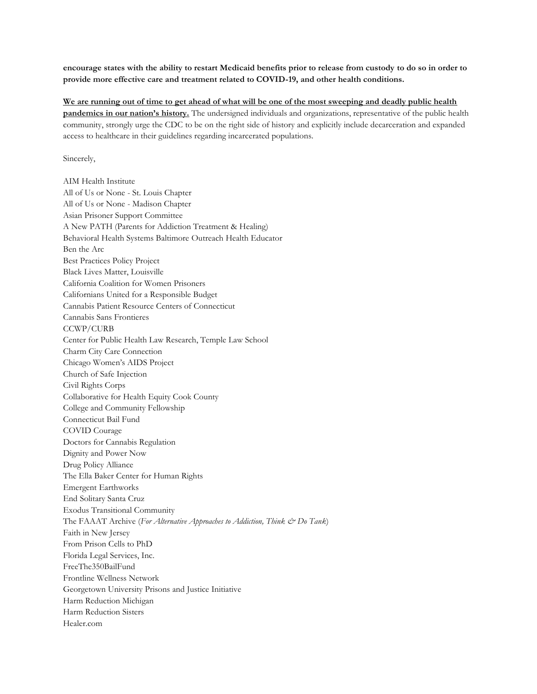**encourage states with the ability to restart Medicaid benefits prior to release from custody to do so in order to provide more effective care and treatment related to COVID-19, and other health conditions.**

We are running out of time to get ahead of what will be one of the most sweeping and deadly public health **pandemics in our nation's history.** The undersigned individuals and organizations, representative of the public health community, strongly urge the CDC to be on the right side of history and explicitly include decarceration and expanded access to healthcare in their guidelines regarding incarcerated populations.

Sincerely,

AIM Health Institute All of Us or None - St. Louis Chapter All of Us or None - Madison Chapter Asian Prisoner Support Committee A New PATH (Parents for Addiction Treatment & Healing) Behavioral Health Systems Baltimore Outreach Health Educator Ben the Arc Best Practices Policy Project Black Lives Matter, Louisville California Coalition for Women Prisoners Californians United for a Responsible Budget Cannabis Patient Resource Centers of Connecticut Cannabis Sans Frontieres CCWP/CURB Center for Public Health Law Research, Temple Law School Charm City Care Connection Chicago Women's AIDS Project Church of Safe Injection Civil Rights Corps Collaborative for Health Equity Cook County College and Community Fellowship Connecticut Bail Fund COVID Courage Doctors for Cannabis Regulation Dignity and Power Now Drug Policy Alliance The Ella Baker Center for Human Rights Emergent Earthworks End Solitary Santa Cruz Exodus Transitional Community The FAAAT Archive (*For Alternative Approaches to Addiction, Think & Do Tank*) Faith in New Jersey From Prison Cells to PhD Florida Legal Services, Inc. FreeThe350BailFund Frontline Wellness Network Georgetown University Prisons and Justice Initiative Harm Reduction Michigan Harm Reduction Sisters Healer.com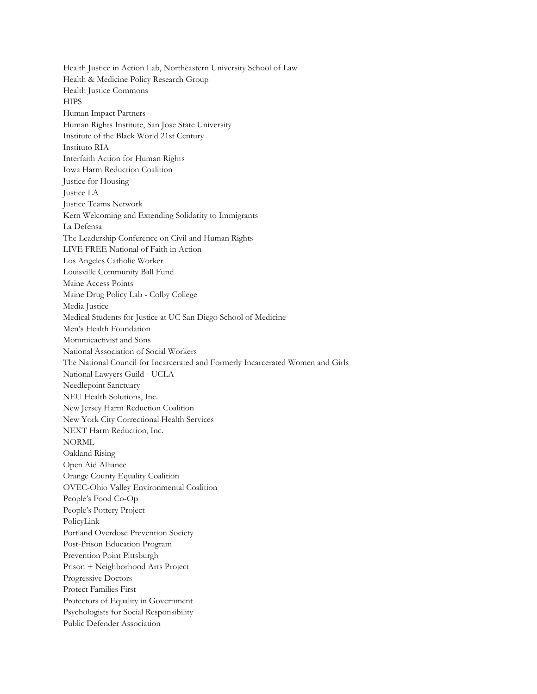Health Justice in Action Lab, Northeastern University School of Law Health & Medicine Policy Research Group Health Justice Commons **HIPS** Human Impact Partners Human Rights Institute, San Jose State University Institute of the Black World 21st Century Instituto RIA Interfaith Action for Human Rights Iowa Harm Reduction Coalition Justice for Housing Justice LA Justice Teams Network Kern Welcoming and Extending Solidarity to Immigrants La Defensa The Leadership Conference on Civil and Human Rights LIVE FREE National of Faith in Action Los Angeles Catholic Worker Louisville Community Ball Fund Maine Access Points Maine Drug Policy Lab - Colby College Media Justice Medical Students for Justice at UC San Diego School of Medicine Men's Health Foundation Mommieactivist and Sons National Association of Social Workers The National Council for Incarcerated and Formerly Incarcerated Women and Girls National Lawyers Guild - UCLA Needlepoint Sanctuary NEU Health Solutions, Inc. New Jersey Harm Reduction Coalition New York City Correctional Health Services NEXT Harm Reduction, Inc. NORML Oakland Rising Open Aid Alliance Orange County Equality Coalition OVEC-Ohio Valley Environmental Coalition People's Food Co-Op People's Pottery Project PolicyLink Portland Overdose Prevention Society Post-Prison Education Program Prevention Point Pittsburgh Prison + Neighborhood Arts Project Progressive Doctors Protect Families First Protectors of Equality in Government Psychologists for Social Responsibility Public Defender Association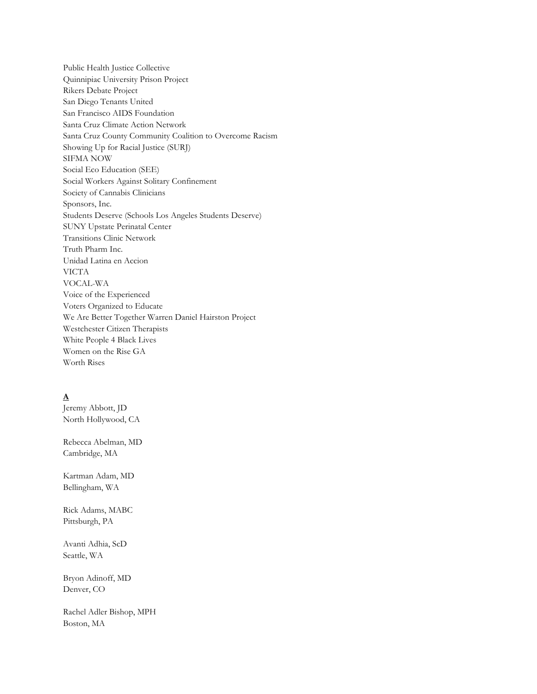Public Health Justice Collective Quinnipiac University Prison Project Rikers Debate Project San Diego Tenants United San Francisco AIDS Foundation Santa Cruz Climate Action Network Santa Cruz County Community Coalition to Overcome Racism Showing Up for Racial Justice (SURJ) SIFMA NOW Social Eco Education (SEE) Social Workers Against Solitary Confinement Society of Cannabis Clinicians Sponsors, Inc. Students Deserve (Schools Los Angeles Students Deserve) SUNY Upstate Perinatal Center Transitions Clinic Network Truth Pharm Inc. Unidad Latina en Accion VICTA VOCAL-WA Voice of the Experienced Voters Organized to Educate We Are Better Together Warren Daniel Hairston Project Westchester Citizen Therapists White People 4 Black Lives Women on the Rise GA Worth Rises

### **A**

Jeremy Abbott, JD North Hollywood, CA

Rebecca Abelman, MD Cambridge, MA

Kartman Adam, MD Bellingham, WA

Rick Adams, MABC Pittsburgh, PA

Avanti Adhia, ScD Seattle, WA

Bryon Adinoff, MD Denver, CO

Rachel Adler Bishop, MPH Boston, MA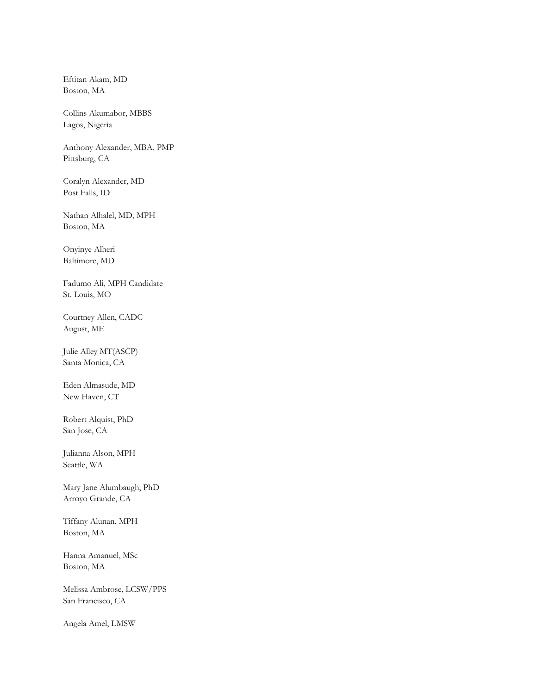Eftitan Akam, MD Boston, MA

Collins Akumabor, MBBS Lagos, Nigeria

Anthony Alexander, MBA, PMP Pittsburg, CA

Coralyn Alexander, MD Post Falls, ID

Nathan Alhalel, MD, MPH Boston, MA

Onyinye Alheri Baltimore, MD

Fadumo Ali, MPH Candidate St. Louis, MO

Courtney Allen, CADC August, ME

Julie Alley MT(ASCP) Santa Monica, CA

Eden Almasude, MD New Haven, CT

Robert Alquist, PhD San Jose, CA

Julianna Alson, MPH Seattle, WA

Mary Jane Alumbaugh, PhD Arroyo Grande, CA

Tiffany Alunan, MPH Boston, MA

Hanna Amanuel, MSc Boston, MA

Melissa Ambrose, LCSW/PPS San Francisco, CA

Angela Amel, LMSW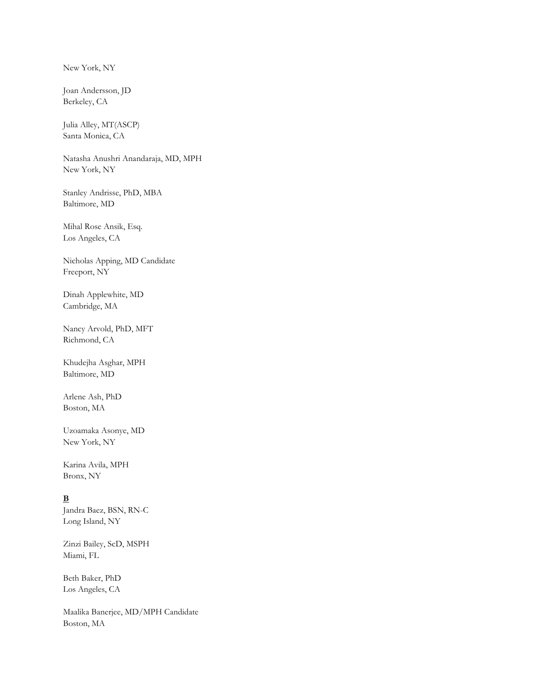New York, NY

Joan Andersson, JD Berkeley, CA

Julia Alley, MT(ASCP) Santa Monica, CA

Natasha Anushri Anandaraja, MD, MPH New York, NY

Stanley Andrisse, PhD, MBA Baltimore, MD

Mihal Rose Ansik, Esq. Los Angeles, CA

Nicholas Apping, MD Candidate Freeport, NY

Dinah Applewhite, MD Cambridge, MA

Nancy Arvold, PhD, MFT Richmond, CA

Khudejha Asghar, MPH Baltimore, MD

Arlene Ash, PhD Boston, MA

Uzoamaka Asonye, MD New York, NY

Karina Avila, MPH Bronx, NY

## **B**

Jandra Baez, BSN, RN-C Long Island, NY

Zinzi Bailey, ScD, MSPH Miami, FL

Beth Baker, PhD Los Angeles, CA

Maalika Banerjee, MD/MPH Candidate Boston, MA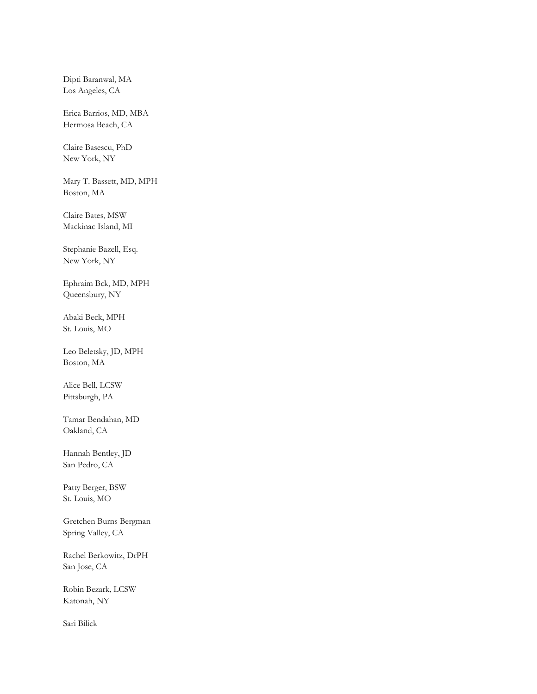Dipti Baranwal, MA Los Angeles, CA

Erica Barrios, MD, MBA Hermosa Beach, CA

Claire Basescu, PhD New York, NY

Mary T. Bassett, MD, MPH Boston, MA

Claire Bates, MSW Mackinac Island, MI

Stephanie Bazell, Esq. New York, NY

Ephraim Bck, MD, MPH Queensbury, NY

Abaki Beck, MPH St. Louis, MO

Leo Beletsky, JD, MPH Boston, MA

Alice Bell, LCSW Pittsburgh, PA

Tamar Bendahan, MD Oakland, CA

Hannah Bentley, JD San Pedro, CA

Patty Berger, BSW St. Louis, MO

Gretchen Burns Bergman Spring Valley, CA

Rachel Berkowitz, DrPH San Jose, CA

Robin Bezark, LCSW Katonah, NY

Sari Bilick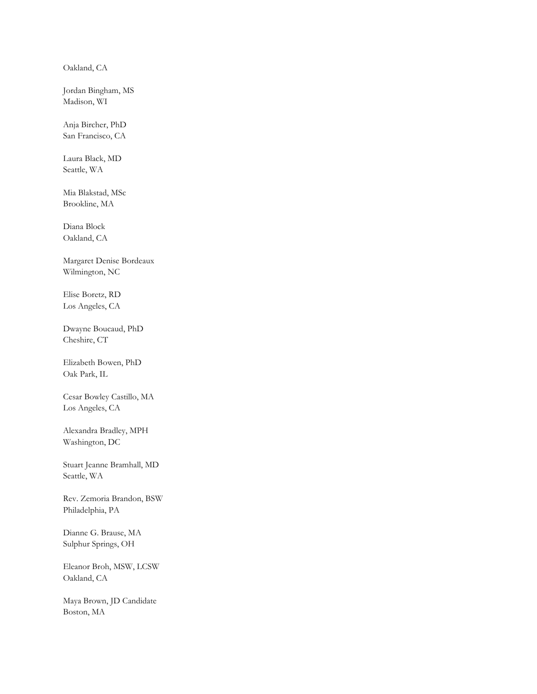Oakland, CA

Jordan Bingham, MS Madison, WI

Anja Bircher, PhD San Francisco, CA

Laura Black, MD Seattle, WA

Mia Blakstad, MSc Brookline, MA

Diana Block Oakland, CA

Margaret Denise Bordeaux Wilmington, NC

Elise Boretz, RD Los Angeles, CA

Dwayne Boucaud, PhD Cheshire, CT

Elizabeth Bowen, PhD Oak Park, IL

Cesar Bowley Castillo, MA Los Angeles, CA

Alexandra Bradley, MPH Washington, DC

Stuart Jeanne Bramhall, MD Seattle, WA

Rev. Zemoria Brandon, BSW Philadelphia, PA

Dianne G. Brause, MA Sulphur Springs, OH

Eleanor Broh, MSW, LCSW Oakland, CA

Maya Brown, JD Candidate Boston, MA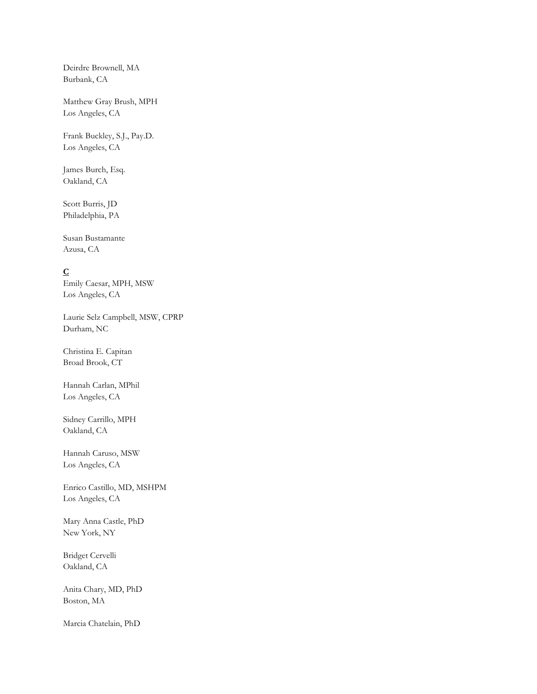Deirdre Brownell, MA Burbank, CA

Matthew Gray Brush, MPH Los Angeles, CA

Frank Buckley, S.J., Pay.D. Los Angeles, CA

James Burch, Esq. Oakland, CA

Scott Burris, JD Philadelphia, PA

Susan Bustamante Azusa, CA

## **C**

Emily Caesar, MPH, MSW Los Angeles, CA

Laurie Selz Campbell, MSW, CPRP Durham, NC

Christina E. Capitan Broad Brook, CT

Hannah Carlan, MPhil Los Angeles, CA

Sidney Carrillo, MPH Oakland, CA

Hannah Caruso, MSW Los Angeles, CA

Enrico Castillo, MD, MSHPM Los Angeles, CA

Mary Anna Castle, PhD New York, NY

Bridget Cervelli Oakland, CA

Anita Chary, MD, PhD Boston, MA

Marcia Chatelain, PhD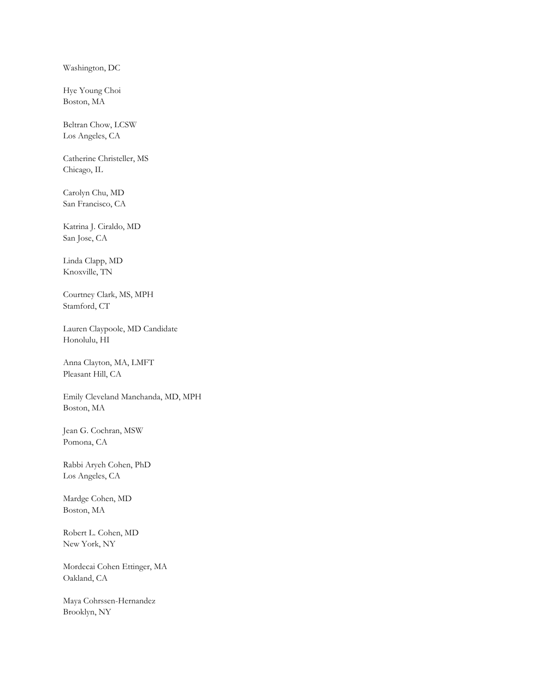Washington, DC

Hye Young Choi Boston, MA

Beltran Chow, LCSW Los Angeles, CA

Catherine Christeller, MS Chicago, IL

Carolyn Chu, MD San Francisco, CA

Katrina J. Ciraldo, MD San Jose, CA

Linda Clapp, MD Knoxville, TN

Courtney Clark, MS, MPH Stamford, CT

Lauren Claypoole, MD Candidate Honolulu, HI

Anna Clayton, MA, LMFT Pleasant Hill, CA

Emily Cleveland Manchanda, MD, MPH Boston, MA

Jean G. Cochran, MSW Pomona, CA

Rabbi Aryeh Cohen, PhD Los Angeles, CA

Mardge Cohen, MD Boston, MA

Robert L. Cohen, MD New York, NY

Mordecai Cohen Ettinger, MA Oakland, CA

Maya Cohrssen-Hernandez Brooklyn, NY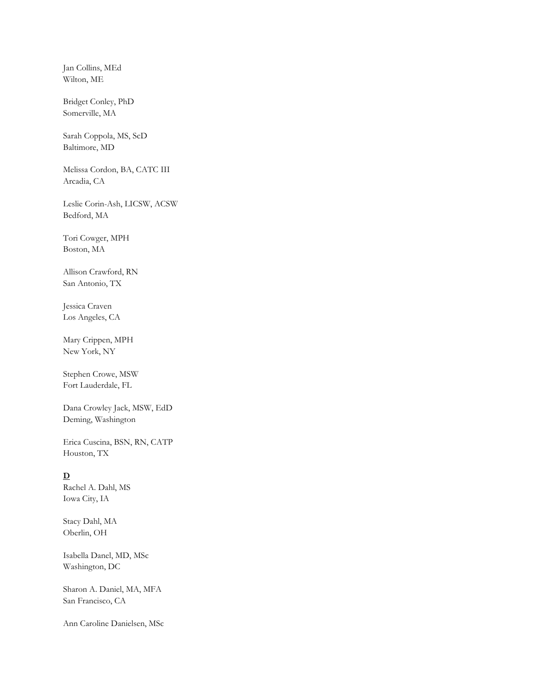Jan Collins, MEd Wilton, ME

Bridget Conley, PhD Somerville, MA

Sarah Coppola, MS, ScD Baltimore, MD

Melissa Cordon, BA, CATC III Arcadia, CA

Leslie Corin-Ash, LICSW, ACSW Bedford, MA

Tori Cowger, MPH Boston, MA

Allison Crawford, RN San Antonio, TX

Jessica Craven Los Angeles, CA

Mary Crippen, MPH New York, NY

Stephen Crowe, MSW Fort Lauderdale, FL

Dana Crowley Jack, MSW, EdD Deming, Washington

Erica Cuscina, BSN, RN, CATP Houston, TX

#### **D**

Rachel A. Dahl, MS Iowa City, IA

Stacy Dahl, MA Oberlin, OH

Isabella Danel, MD, MSc Washington, DC

Sharon A. Daniel, MA, MFA San Francisco, CA

Ann Caroline Danielsen, MSc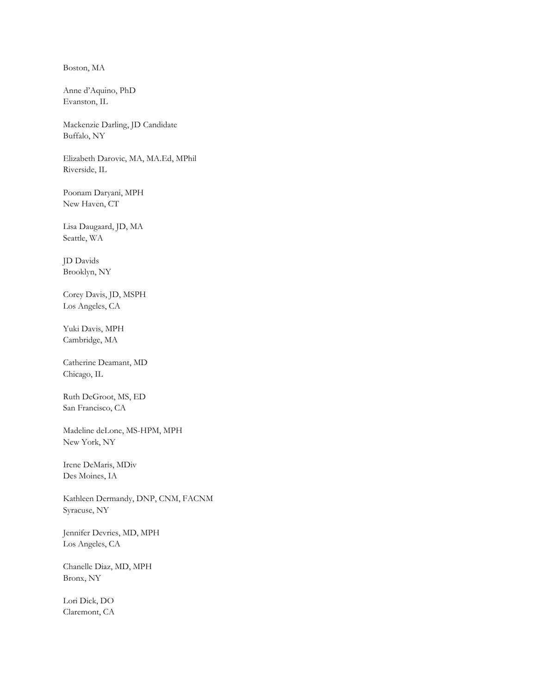Boston, MA

Anne d'Aquino, PhD Evanston, IL

Mackenzie Darling, JD Candidate Buffalo, NY

Elizabeth Darovic, MA, MA.Ed, MPhil Riverside, IL

Poonam Daryani, MPH New Haven, CT

Lisa Daugaard, JD, MA Seattle, WA

JD Davids Brooklyn, NY

Corey Davis, JD, MSPH Los Angeles, CA

Yuki Davis, MPH Cambridge, MA

Catherine Deamant, MD Chicago, IL

Ruth DeGroot, MS, ED San Francisco, CA

Madeline deLone, MS-HPM, MPH New York, NY

Irene DeMaris, MDiv Des Moines, IA

Kathleen Dermandy, DNP, CNM, FACNM Syracuse, NY

Jennifer Devries, MD, MPH Los Angeles, CA

Chanelle Diaz, MD, MPH Bronx, NY

Lori Dick, DO Claremont, CA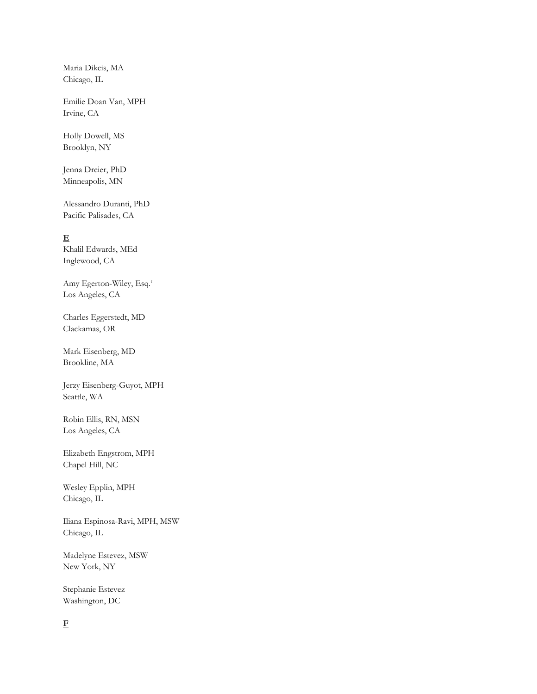Maria Dikcis, MA Chicago, IL

Emilie Doan Van, MPH Irvine, CA

Holly Dowell, MS Brooklyn, NY

Jenna Dreier, PhD Minneapolis, MN

Alessandro Duranti, PhD Pacific Palisades, CA

### **E**

Khalil Edwards, MEd Inglewood, CA

Amy Egerton-Wiley, Esq.' Los Angeles, CA

Charles Eggerstedt, MD Clackamas, OR

Mark Eisenberg, MD Brookline, MA

Jerzy Eisenberg-Guyot, MPH Seattle, WA

Robin Ellis, RN, MSN Los Angeles, CA

Elizabeth Engstrom, MPH Chapel Hill, NC

Wesley Epplin, MPH Chicago, IL

Iliana Espinosa-Ravi, MPH, MSW Chicago, IL

Madelyne Estevez, MSW New York, NY

Stephanie Estevez Washington, DC

# **F**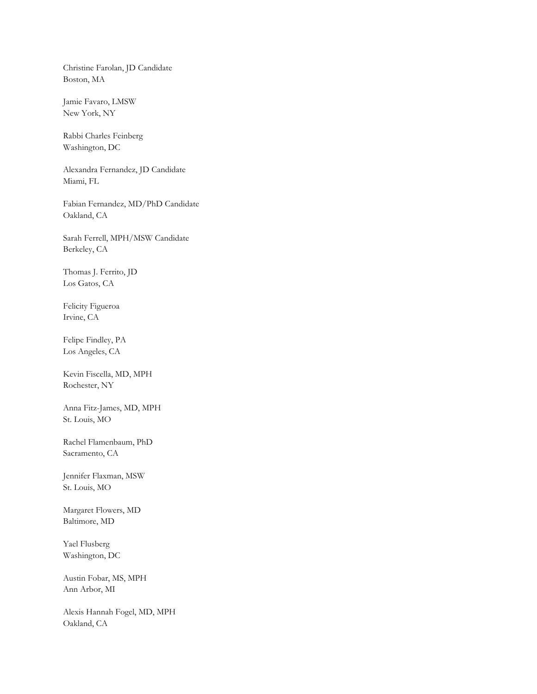Christine Farolan, JD Candidate Boston, MA

Jamie Favaro, LMSW New York, NY

Rabbi Charles Feinberg Washington, DC

Alexandra Fernandez, JD Candidate Miami, FL

Fabian Fernandez, MD/PhD Candidate Oakland, CA

Sarah Ferrell, MPH/MSW Candidate Berkeley, CA

Thomas J. Ferrito, JD Los Gatos, CA

Felicity Figueroa Irvine, CA

Felipe Findley, PA Los Angeles, CA

Kevin Fiscella, MD, MPH Rochester, NY

Anna Fitz-James, MD, MPH St. Louis, MO

Rachel Flamenbaum, PhD Sacramento, CA

Jennifer Flaxman, MSW St. Louis, MO

Margaret Flowers, MD Baltimore, MD

Yael Flusberg Washington, DC

Austin Fobar, MS, MPH Ann Arbor, MI

Alexis Hannah Fogel, MD, MPH Oakland, CA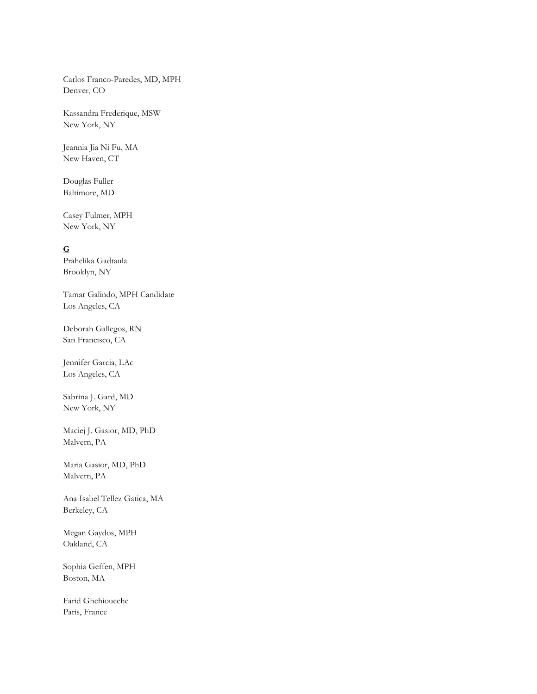Carlos Franco-Paredes, MD, MPH Denver, CO

Kassandra Frederique, MSW New York, NY

Jeannia Jia Ni Fu, MA New Haven, CT

Douglas Fuller Baltimore, MD

Casey Fulmer, MPH New York, NY

### **G**

Prahelika Gadtaula Brooklyn, NY

Tamar Galindo, MPH Candidate Los Angeles, CA

Deborah Gallegos, RN San Francisco, CA

Jennifer Garcia, LAc Los Angeles, CA

Sabrina J. Gard, MD New York, NY

Maciej J. Gasior, MD, PhD Malvern, PA

Maria Gasior, MD, PhD Malvern, PA

Ana Isabel Tellez Gatica, MA Berkeley, CA

Megan Gaydos, MPH Oakland, CA

Sophia Geffen, MPH Boston, MA

Farid Ghehioueche Paris, France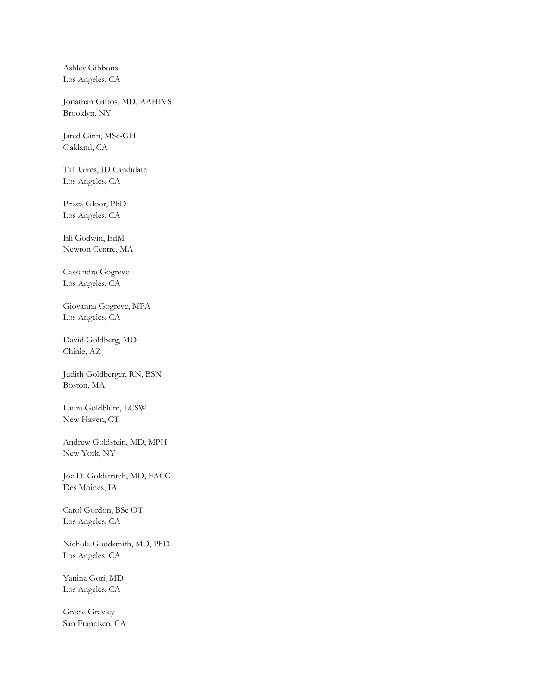Ashley Gibbons Los Angeles, CA

Jonathan Giftos, MD, AAHIVS Brooklyn, NY

Jared Ginn, MSc-GH Oakland, CA

Tali Gires, JD Candidate Los Angeles, CA

Prisca Gloor, PhD Los Angeles, CA

Eli Godwin, EdM Newton Centre, MA

Cassandra Gogreve Los Angeles, CA

Giovanna Gogreve, MPA Los Angeles, CA

David Goldberg, MD Chinle, AZ

Judith Goldberger, RN, BSN Boston, MA

Laura Goldblum, LCSW New Haven, CT

Andrew Goldstein, MD, MPH New York, NY

Joe D. Goldstritch, MD, FACC Des Moines, IA

Carol Gordon, BSc OT Los Angeles, CA

Nichole Goodsmith, MD, PhD Los Angeles, CA

Yanina Gori, MD Los Angeles, CA

Gracie Gravley San Francisco, CA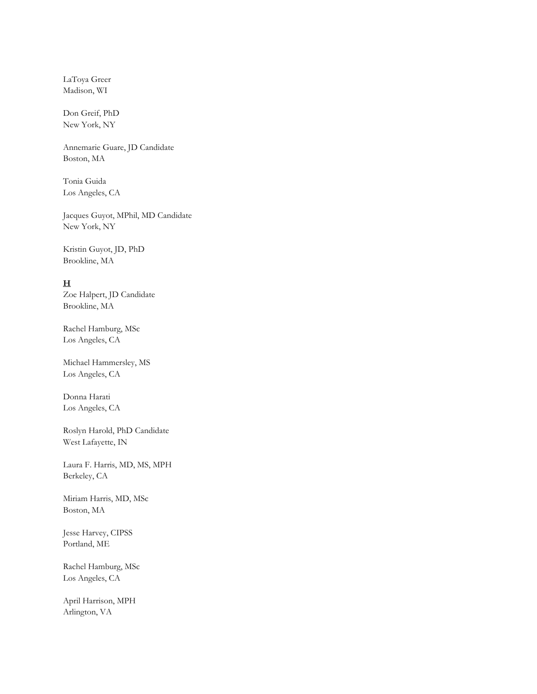LaToya Greer Madison, WI

Don Greif, PhD New York, NY

Annemarie Guare, JD Candidate Boston, MA

Tonia Guida Los Angeles, CA

Jacques Guyot, MPhil, MD Candidate New York, NY

Kristin Guyot, JD, PhD Brookline, MA

## **H**

Zoe Halpert, JD Candidate Brookline, MA

Rachel Hamburg, MSc Los Angeles, CA

Michael Hammersley, MS Los Angeles, CA

Donna Harati Los Angeles, CA

Roslyn Harold, PhD Candidate West Lafayette, IN

Laura F. Harris, MD, MS, MPH Berkeley, CA

Miriam Harris, MD, MSc Boston, MA

Jesse Harvey, CIPSS Portland, ME

Rachel Hamburg, MSc Los Angeles, CA

April Harrison, MPH Arlington, VA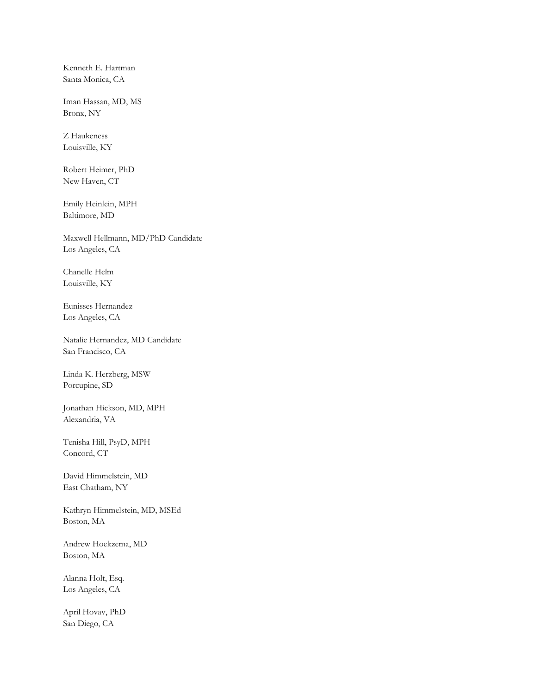Kenneth E. Hartman Santa Monica, CA

Iman Hassan, MD, MS Bronx, NY

Z Haukeness Louisville, KY

Robert Heimer, PhD New Haven, CT

Emily Heinlein, MPH Baltimore, MD

Maxwell Hellmann, MD/PhD Candidate Los Angeles, CA

Chanelle Helm Louisville, KY

Eunisses Hernandez Los Angeles, CA

Natalie Hernandez, MD Candidate San Francisco, CA

Linda K. Herzberg, MSW Porcupine, SD

Jonathan Hickson, MD, MPH Alexandria, VA

Tenisha Hill, PsyD, MPH Concord, CT

David Himmelstein, MD East Chatham, NY

Kathryn Himmelstein, MD, MSEd Boston, MA

Andrew Hoekzema, MD Boston, MA

Alanna Holt, Esq. Los Angeles, CA

April Hovav, PhD San Diego, CA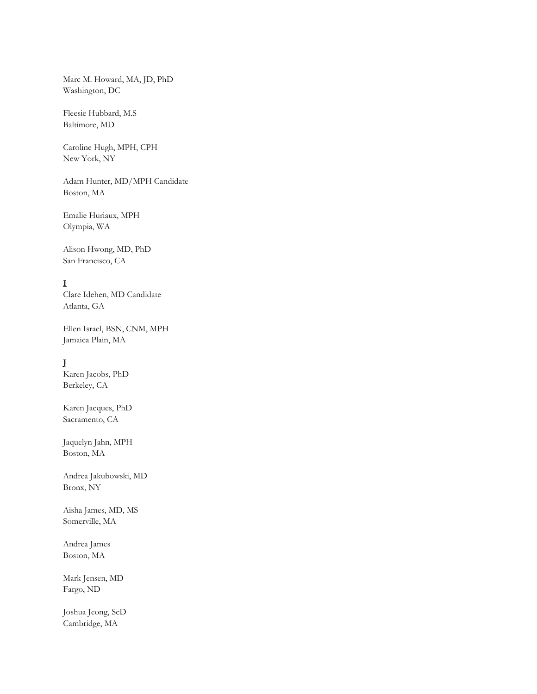Marc M. Howard, MA, JD, PhD Washington, DC

Fleesie Hubbard, M.S Baltimore, MD

Caroline Hugh, MPH, CPH New York, NY

Adam Hunter, MD/MPH Candidate Boston, MA

Emalie Huriaux, MPH Olympia, WA

Alison Hwong, MD, PhD San Francisco, CA

## **I**

Clare Idehen, MD Candidate Atlanta, GA

Ellen Israel, BSN, CNM, MPH Jamaica Plain, MA

### **J**

Karen Jacobs, PhD Berkeley, CA

Karen Jacques, PhD Sacramento, CA

Jaquelyn Jahn, MPH Boston, MA

Andrea Jakubowski, MD Bronx, NY

Aisha James, MD, MS Somerville, MA

Andrea James Boston, MA

Mark Jensen, MD Fargo, ND

Joshua Jeong, ScD Cambridge, MA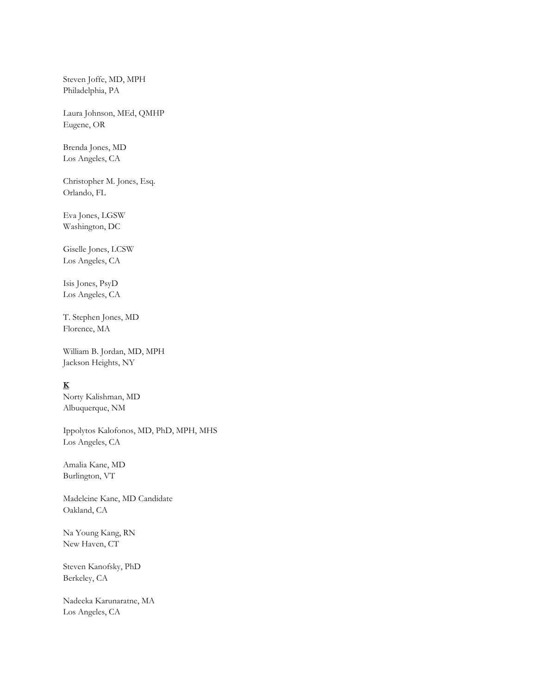Steven Joffe, MD, MPH Philadelphia, PA

Laura Johnson, MEd, QMHP Eugene, OR

Brenda Jones, MD Los Angeles, CA

Christopher M. Jones, Esq. Orlando, FL

Eva Jones, LGSW Washington, DC

Giselle Jones, LCSW Los Angeles, CA

Isis Jones, PsyD Los Angeles, CA

T. Stephen Jones, MD Florence, MA

William B. Jordan, MD, MPH Jackson Heights, NY

# **K**

Norty Kalishman, MD Albuquerque, NM

Ippolytos Kalofonos, MD, PhD, MPH, MHS Los Angeles, CA

Amalia Kane, MD Burlington, VT

Madeleine Kane, MD Candidate Oakland, CA

Na Young Kang, RN New Haven, CT

Steven Kanofsky, PhD Berkeley, CA

Nadeeka Karunaratne, MA Los Angeles, CA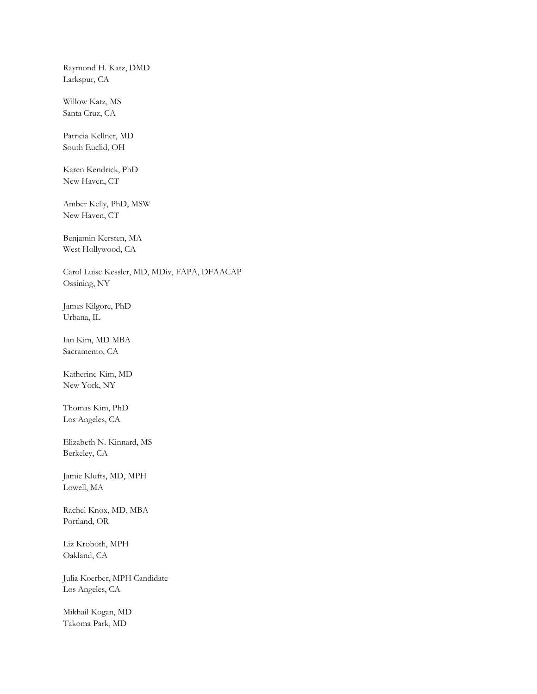Raymond H. Katz, DMD Larkspur, CA

Willow Katz, MS Santa Cruz, CA

Patricia Kellner, MD South Euclid, OH

Karen Kendrick, PhD New Haven, CT

Amber Kelly, PhD, MSW New Haven, CT

Benjamin Kersten, MA West Hollywood, CA

Carol Luise Kessler, MD, MDiv, FAPA, DFAACAP Ossining, NY

James Kilgore, PhD Urbana, IL

Ian Kim, MD MBA Sacramento, CA

Katherine Kim, MD New York, NY

Thomas Kim, PhD Los Angeles, CA

Elizabeth N. Kinnard, MS Berkeley, CA

Jamie Klufts, MD, MPH Lowell, MA

Rachel Knox, MD, MBA Portland, OR

Liz Kroboth, MPH Oakland, CA

Julia Koerber, MPH Candidate Los Angeles, CA

Mikhail Kogan, MD Takoma Park, MD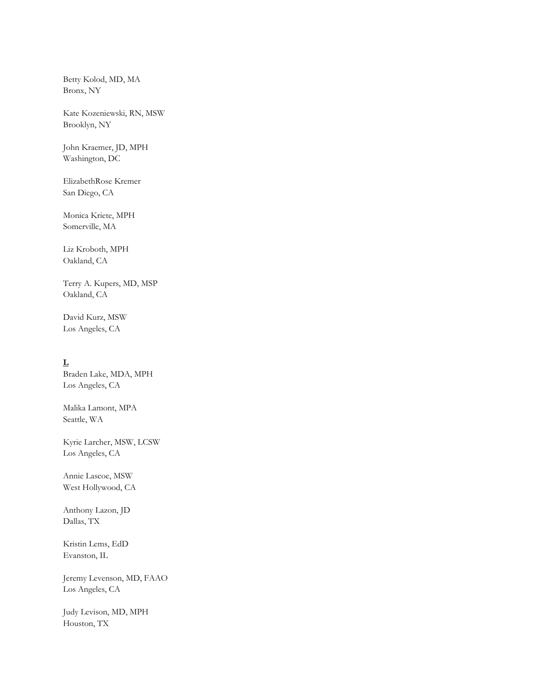Betty Kolod, MD, MA Bronx, NY

Kate Kozeniewski, RN, MSW Brooklyn, NY

John Kraemer, JD, MPH Washington, DC

ElizabethRose Kremer San Diego, CA

Monica Kriete, MPH Somerville, MA

Liz Kroboth, MPH Oakland, CA

Terry A. Kupers, MD, MSP Oakland, CA

David Kurz, MSW Los Angeles, CA

## **L**

Braden Lake, MDA, MPH Los Angeles, CA

Malika Lamont, MPA Seattle, WA

Kyrie Larcher, MSW, LCSW Los Angeles, CA

Annie Lascoe, MSW West Hollywood, CA

Anthony Lazon, JD Dallas, TX

Kristin Lems, EdD Evanston, IL

Jeremy Levenson, MD, FAAO Los Angeles, CA

Judy Levison, MD, MPH Houston, TX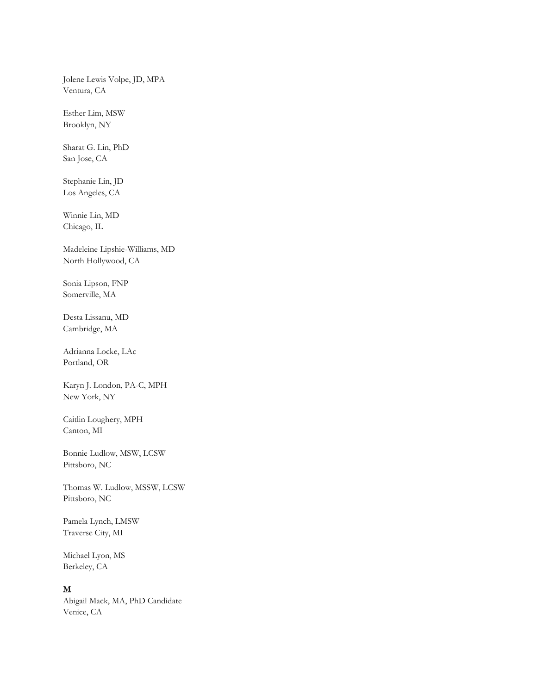Jolene Lewis Volpe, JD, MPA Ventura, CA

Esther Lim, MSW Brooklyn, NY

Sharat G. Lin, PhD San Jose, CA

Stephanie Lin, JD Los Angeles, CA

Winnie Lin, MD Chicago, IL

Madeleine Lipshie-Williams, MD North Hollywood, CA

Sonia Lipson, FNP Somerville, MA

Desta Lissanu, MD Cambridge, MA

Adrianna Locke, LAc Portland, OR

Karyn J. London, PA-C, MPH New York, NY

Caitlin Loughery, MPH Canton, MI

Bonnie Ludlow, MSW, LCSW Pittsboro, NC

Thomas W. Ludlow, MSSW, LCSW Pittsboro, NC

Pamela Lynch, LMSW Traverse City, MI

Michael Lyon, MS Berkeley, CA

#### **M**

Abigail Mack, MA, PhD Candidate Venice, CA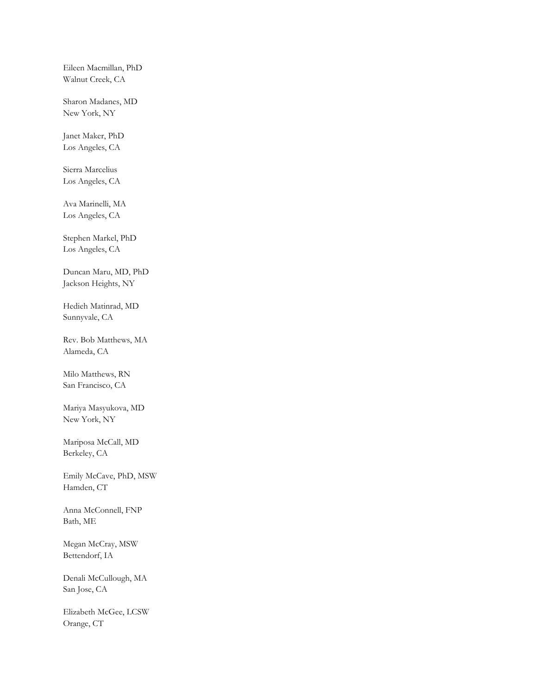Eileen Macmillan, PhD Walnut Creek, CA

Sharon Madanes, MD New York, NY

Janet Maker, PhD Los Angeles, CA

Sierra Marcelius Los Angeles, CA

Ava Marinelli, MA Los Angeles, CA

Stephen Markel, PhD Los Angeles, CA

Duncan Maru, MD, PhD Jackson Heights, NY

Hedieh Matinrad, MD Sunnyvale, CA

Rev. Bob Matthews, MA Alameda, CA

Milo Matthews, RN San Francisco, CA

Mariya Masyukova, MD New York, NY

Mariposa McCall, MD Berkeley, CA

Emily McCave, PhD, MSW Hamden, CT

Anna McConnell, FNP Bath, ME

Megan McCray, MSW Bettendorf, IA

Denali McCullough, MA San Jose, CA

Elizabeth McGee, LCSW Orange, CT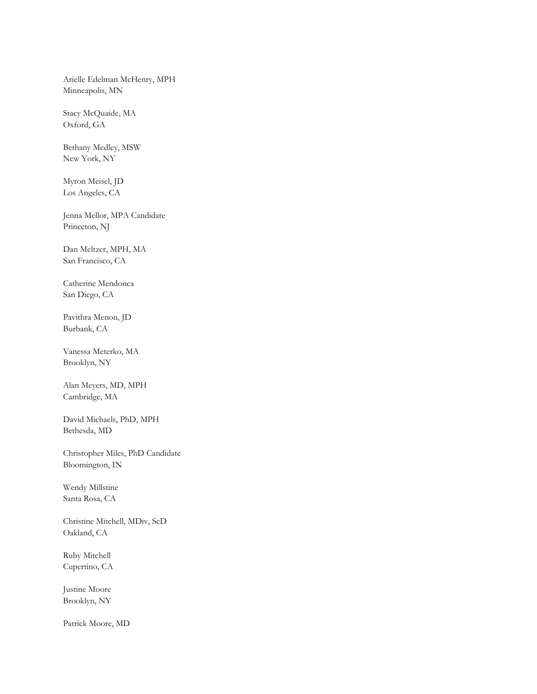Arielle Edelman McHenry, MPH Minneapolis, MN

Stacy McQuaide, MA Oxford, GA

Bethany Medley, MSW New York, NY

Myron Meisel, JD Los Angeles, CA

Jenna Mellor, MPA Candidate Princeton, NJ

Dan Meltzer, MPH, MA San Francisco, CA

Catherine Mendonca San Diego, CA

Pavithra Menon, JD Burbank, CA

Vanessa Meterko, MA Brooklyn, NY

Alan Meyers, MD, MPH Cambridge, MA

David Michaels, PhD, MPH Bethesda, MD

Christopher Miles, PhD Candidate Bloomington, IN

Wendy Millstine Santa Rosa, CA

Christine Mitchell, MDiv, ScD Oakland, CA

Ruby Mitchell Cupertino, CA

Justine Moore Brooklyn, NY

Patrick Moore, MD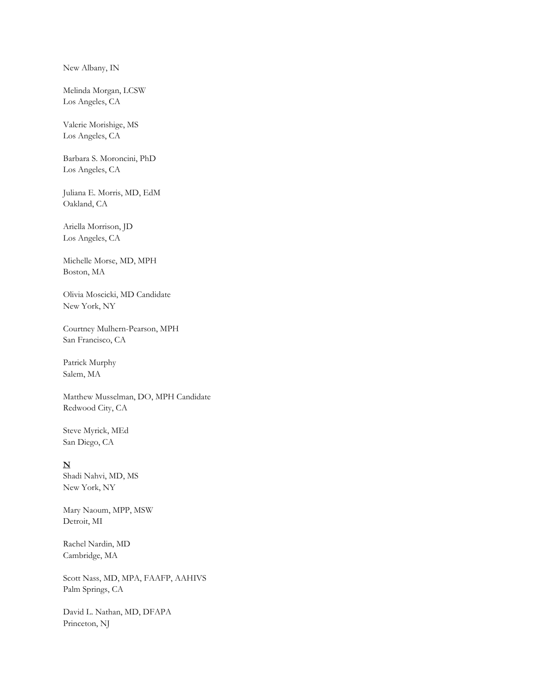New Albany, IN

Melinda Morgan, LCSW Los Angeles, CA

Valerie Morishige, MS Los Angeles, CA

Barbara S. Moroncini, PhD Los Angeles, CA

Juliana E. Morris, MD, EdM Oakland, CA

Ariella Morrison, JD Los Angeles, CA

Michelle Morse, MD, MPH Boston, MA

Olivia Moscicki, MD Candidate New York, NY

Courtney Mulhern-Pearson, MPH San Francisco, CA

Patrick Murphy Salem, MA

Matthew Musselman, DO, MPH Candidate Redwood City, CA

Steve Myrick, MEd San Diego, CA

### **N**

Shadi Nahvi, MD, MS New York, NY

Mary Naoum, MPP, MSW Detroit, MI

Rachel Nardin, MD Cambridge, MA

Scott Nass, MD, MPA, FAAFP, AAHIVS Palm Springs, CA

David L. Nathan, MD, DFAPA Princeton, NJ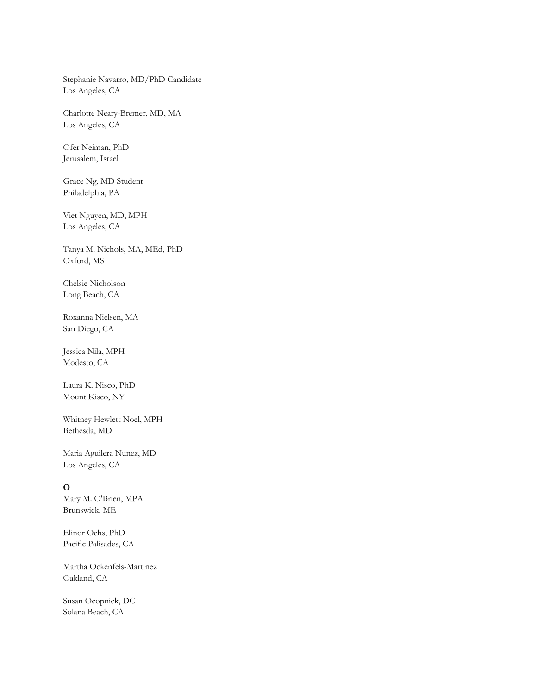Stephanie Navarro, MD/PhD Candidate Los Angeles, CA

Charlotte Neary-Bremer, MD, MA Los Angeles, CA

Ofer Neiman, PhD Jerusalem, Israel

Grace Ng, MD Student Philadelphia, PA

Viet Nguyen, MD, MPH Los Angeles, CA

Tanya M. Nichols, MA, MEd, PhD Oxford, MS

Chelsie Nicholson Long Beach, CA

Roxanna Nielsen, MA San Diego, CA

Jessica Nila, MPH Modesto, CA

Laura K. Nisco, PhD Mount Kisco, NY

Whitney Hewlett Noel, MPH Bethesda, MD

Maria Aguilera Nunez, MD Los Angeles, CA

## **O**

Mary M. O'Brien, MPA Brunswick, ME

Elinor Ochs, PhD Pacific Palisades, CA

Martha Ockenfels-Martinez Oakland, CA

Susan Ocopnick, DC Solana Beach, CA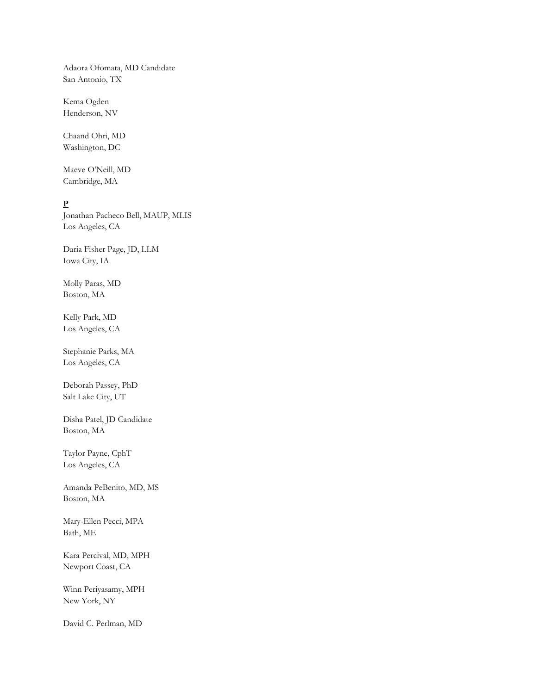Adaora Ofomata, MD Candidate San Antonio, TX

Kema Ogden Henderson, NV

Chaand Ohri, MD Washington, DC

Maeve O'Neill, MD Cambridge, MA

## **P**

Jonathan Pacheco Bell, MAUP, MLIS Los Angeles, CA

Daria Fisher Page, JD, LLM Iowa City, IA

Molly Paras, MD Boston, MA

Kelly Park, MD Los Angeles, CA

Stephanie Parks, MA Los Angeles, CA

Deborah Passey, PhD Salt Lake City, UT

Disha Patel, JD Candidate Boston, MA

Taylor Payne, CphT Los Angeles, CA

Amanda PeBenito, MD, MS Boston, MA

Mary-Ellen Pecci, MPA Bath, ME

Kara Percival, MD, MPH Newport Coast, CA

Winn Periyasamy, MPH New York, NY

David C. Perlman, MD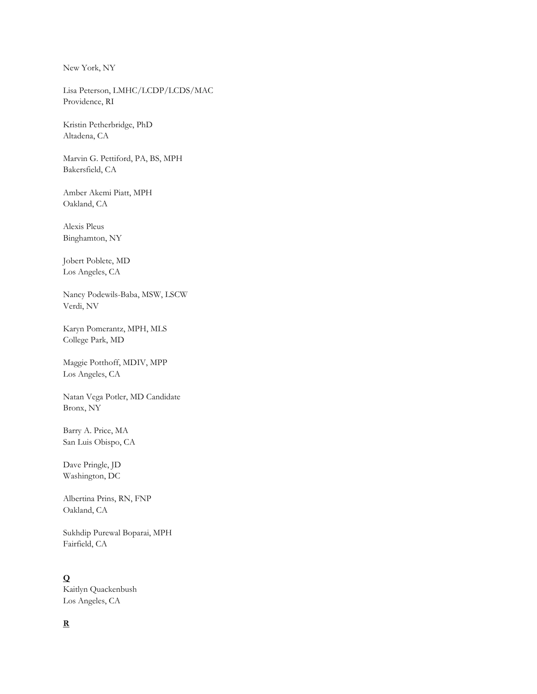New York, NY

Lisa Peterson, LMHC/LCDP/LCDS/MAC Providence, RI

Kristin Petherbridge, PhD Altadena, CA

Marvin G. Pettiford, PA, BS, MPH Bakersfield, CA

Amber Akemi Piatt, MPH Oakland, CA

Alexis Pleus Binghamton, NY

Jobert Poblete, MD Los Angeles, CA

Nancy Podewils-Baba, MSW, LSCW Verdi, NV

Karyn Pomerantz, MPH, MLS College Park, MD

Maggie Potthoff, MDIV, MPP Los Angeles, CA

Natan Vega Potler, MD Candidate Bronx, NY

Barry A. Price, MA San Luis Obispo, CA

Dave Pringle, JD Washington, DC

Albertina Prins, RN, FNP Oakland, CA

Sukhdip Purewal Boparai, MPH Fairfield, CA

# **Q**

Kaitlyn Quackenbush Los Angeles, CA

## **R**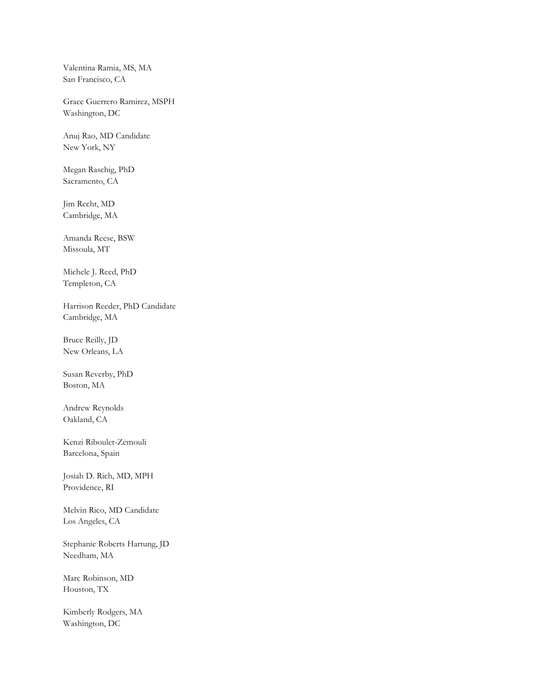Valentina Ramia, MS, MA San Francisco, CA

Grace Guerrero Ramirez, MSPH Washington, DC

Anuj Rao, MD Candidate New York, NY

Megan Raschig, PhD Sacramento, CA

Jim Recht, MD Cambridge, MA

Amanda Reese, BSW Missoula, MT

Michele J. Reed, PhD Templeton, CA

Harrison Reeder, PhD Candidate Cambridge, MA

Bruce Reilly, JD New Orleans, LA

Susan Reverby, PhD Boston, MA

Andrew Reynolds Oakland, CA

Kenzi Riboulet-Zemouli Barcelona, Spain

Josiah D. Rich, MD, MPH Providence, RI

Melvin Rico, MD Candidate Los Angeles, CA

Stephanie Roberts Hartung, JD Needham, MA

Marc Robinson, MD Houston, TX

Kimberly Rodgers, MA Washington, DC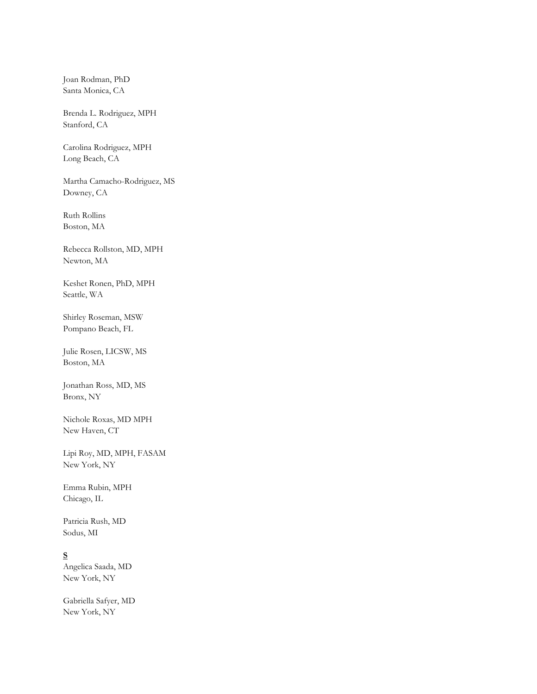Joan Rodman, PhD Santa Monica, CA

Brenda L. Rodriguez, MPH Stanford, CA

Carolina Rodriguez, MPH Long Beach, CA

Martha Camacho-Rodriguez, MS Downey, CA

Ruth Rollins Boston, MA

Rebecca Rollston, MD, MPH Newton, MA

Keshet Ronen, PhD, MPH Seattle, WA

Shirley Roseman, MSW Pompano Beach, FL

Julie Rosen, LICSW, MS Boston, MA

Jonathan Ross, MD, MS Bronx, NY

Nichole Roxas, MD MPH New Haven, CT

Lipi Roy, MD, MPH, FASAM New York, NY

Emma Rubin, MPH Chicago, IL

Patricia Rush, MD Sodus, MI

## **S**

Angelica Saada, MD New York, NY

Gabriella Safyer, MD New York, NY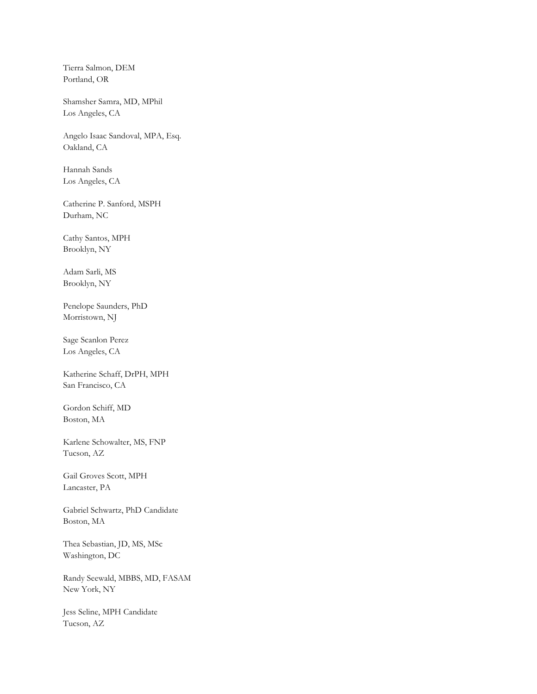Tierra Salmon, DEM Portland, OR

Shamsher Samra, MD, MPhil Los Angeles, CA

Angelo Isaac Sandoval, MPA, Esq. Oakland, CA

Hannah Sands Los Angeles, CA

Catherine P. Sanford, MSPH Durham, NC

Cathy Santos, MPH Brooklyn, NY

Adam Sarli, MS Brooklyn, NY

Penelope Saunders, PhD Morristown, NJ

Sage Scanlon Perez Los Angeles, CA

Katherine Schaff, DrPH, MPH San Francisco, CA

Gordon Schiff, MD Boston, MA

Karlene Schowalter, MS, FNP Tucson, AZ

Gail Groves Scott, MPH Lancaster, PA

Gabriel Schwartz, PhD Candidate Boston, MA

Thea Sebastian, JD, MS, MSc Washington, DC

Randy Seewald, MBBS, MD, FASAM New York, NY

Jess Seline, MPH Candidate Tucson, AZ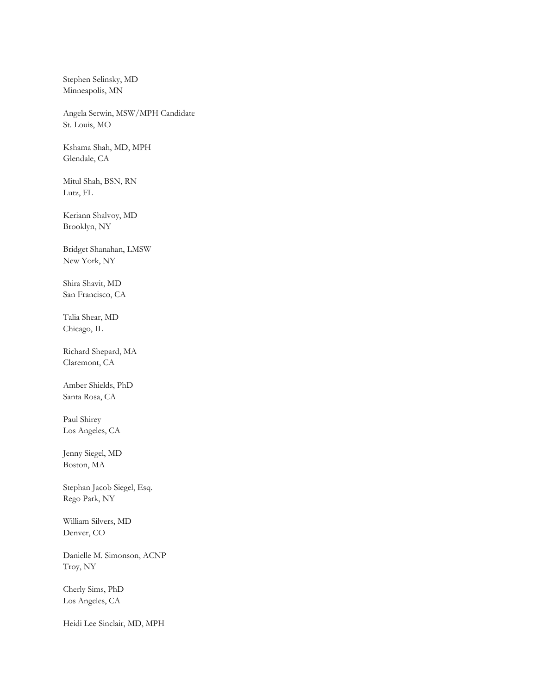Stephen Selinsky, MD Minneapolis, MN

Angela Serwin, MSW/MPH Candidate St. Louis, MO

Kshama Shah, MD, MPH Glendale, CA

Mitul Shah, BSN, RN Lutz, FL

Keriann Shalvoy, MD Brooklyn, NY

Bridget Shanahan, LMSW New York, NY

Shira Shavit, MD San Francisco, CA

Talia Shear, MD Chicago, IL

Richard Shepard, MA Claremont, CA

Amber Shields, PhD Santa Rosa, CA

Paul Shirey Los Angeles, CA

Jenny Siegel, MD Boston, MA

Stephan Jacob Siegel, Esq. Rego Park, NY

William Silvers, MD Denver, CO

Danielle M. Simonson, ACNP Troy, NY

Cherly Sims, PhD Los Angeles, CA

Heidi Lee Sinclair, MD, MPH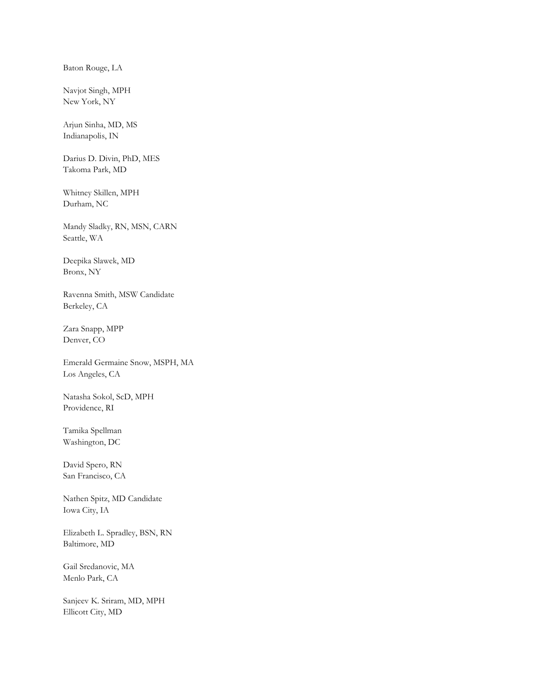Baton Rouge, LA

Navjot Singh, MPH New York, NY

Arjun Sinha, MD, MS Indianapolis, IN

Darius D. Divin, PhD, MES Takoma Park, MD

Whitney Skillen, MPH Durham, NC

Mandy Sladky, RN, MSN, CARN Seattle, WA

Deepika Slawek, MD Bronx, NY

Ravenna Smith, MSW Candidate Berkeley, CA

Zara Snapp, MPP Denver, CO

Emerald Germaine Snow, MSPH, MA Los Angeles, CA

Natasha Sokol, ScD, MPH Providence, RI

Tamika Spellman Washington, DC

David Spero, RN San Francisco, CA

Nathen Spitz, MD Candidate Iowa City, IA

Elizabeth L. Spradley, BSN, RN Baltimore, MD

Gail Sredanovic, MA Menlo Park, CA

Sanjeev K. Sriram, MD, MPH Ellicott City, MD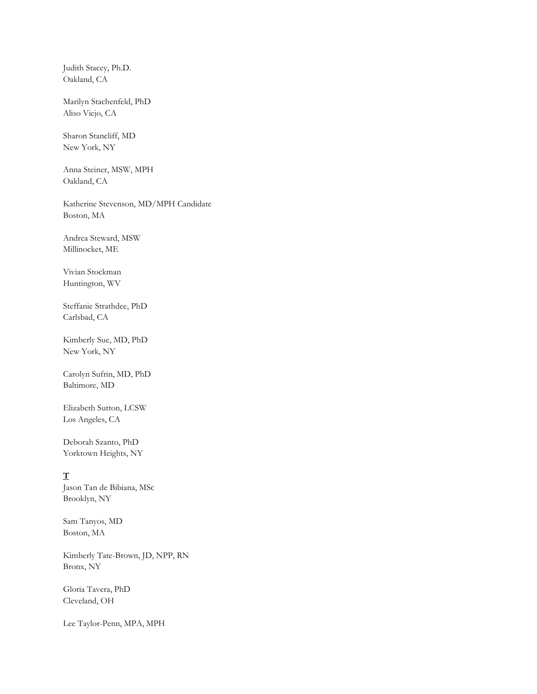Judith Stacey, Ph.D. Oakland, CA

Marilyn Stachenfeld, PhD Aliso Viejo, CA

Sharon Stancliff, MD New York, NY

Anna Steiner, MSW, MPH Oakland, CA

Katherine Stevenson, MD/MPH Candidate Boston, MA

Andrea Steward, MSW Millinocket, ME

Vivian Stockman Huntington, WV

Steffanie Strathdee, PhD Carlsbad, CA

Kimberly Sue, MD, PhD New York, NY

Carolyn Sufrin, MD, PhD Baltimore, MD

Elizabeth Sutton, LCSW Los Angeles, CA

Deborah Szanto, PhD Yorktown Heights, NY

**T** Jason Tan de Bibiana, MSc Brooklyn, NY

Sam Tanyos, MD Boston, MA

Kimberly Tate-Brown, JD, NPP, RN Bronx, NY

Gloria Tavera, PhD Cleveland, OH

Lee Taylor-Penn, MPA, MPH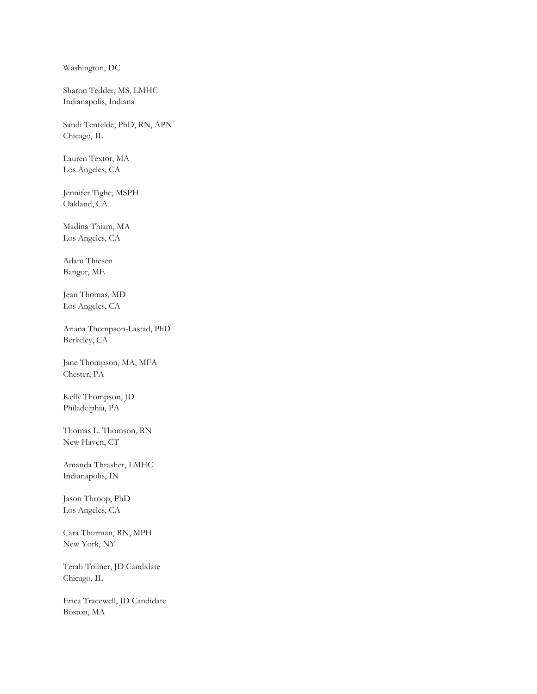Washington, DC

Sharon Tedder, MS, LMHC Indianapolis, Indiana

Sandi Tenfelde, PhD, RN, APN Chicago, IL

Lauren Textor, MA Los Angeles, CA

Jennifer Tighe, MSPH Oakland, CA

Madina Thiam, MA Los Angeles, CA

Adam Thiesen Bangor, ME

Jean Thomas, MD Los Angeles, CA

Ariana Thompson-Lastad, PhD Berkeley, CA

Jane Thompson, MA, MFA Chester, PA

Kelly Thompson, JD Philadelphia, PA

Thomas L. Thomson, RN New Haven, CT

Amanda Thrasher, LMHC Indianapolis, IN

Jason Throop, PhD Los Angeles, CA

Cara Thurman, RN, MPH New York, NY

Terah Tollner, JD Candidate Chicago, IL

Erica Tracewell, JD Candidate Boston, MA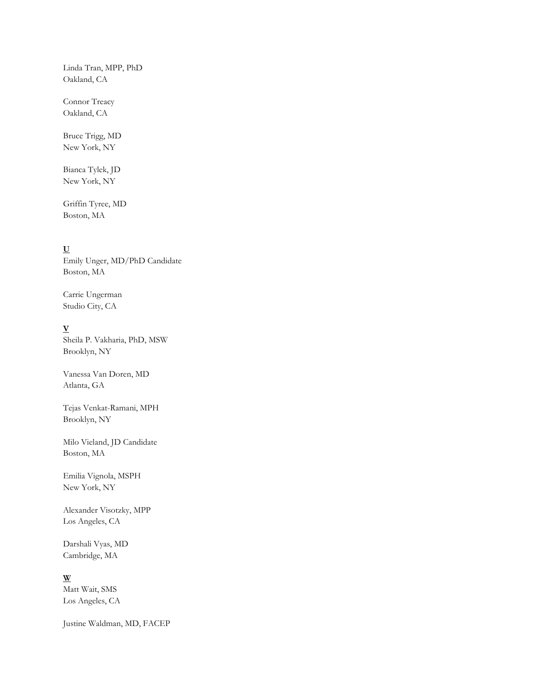Linda Tran, MPP, PhD Oakland, CA

Connor Treacy Oakland, CA

Bruce Trigg, MD New York, NY

Bianca Tylek, JD New York, NY

Griffin Tyree, MD Boston, MA

## **U**

Emily Unger, MD/PhD Candidate Boston, MA

Carrie Ungerman Studio City, CA

## **V**

Sheila P. Vakharia, PhD, MSW Brooklyn, NY

Vanessa Van Doren, MD Atlanta, GA

Tejas Venkat-Ramani, MPH Brooklyn, NY

Milo Vieland, JD Candidate Boston, MA

Emilia Vignola, MSPH New York, NY

Alexander Visotzky, MPP Los Angeles, CA

Darshali Vyas, MD Cambridge, MA

**W** Matt Wait, SMS Los Angeles, CA

Justine Waldman, MD, FACEP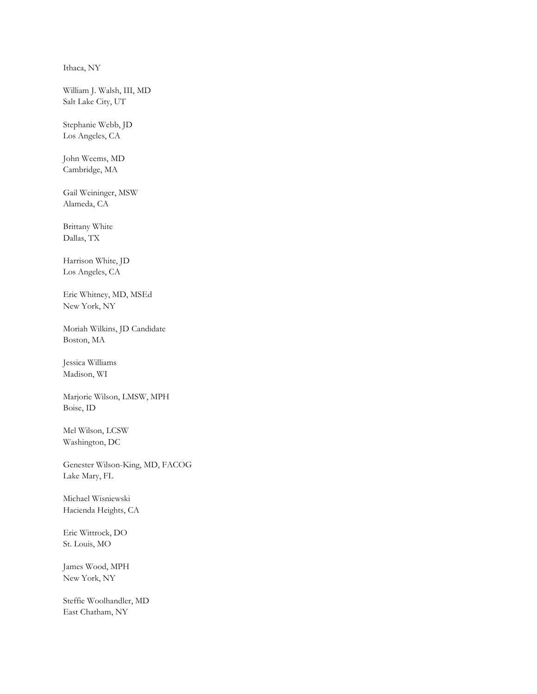Ithaca, NY

William J. Walsh, III, MD Salt Lake City, UT

Stephanie Webb, JD Los Angeles, CA

John Weems, MD Cambridge, MA

Gail Weininger, MSW Alameda, CA

Brittany White Dallas, TX

Harrison White, JD Los Angeles, CA

Eric Whitney, MD, MSEd New York, NY

Moriah Wilkins, JD Candidate Boston, MA

Jessica Williams Madison, WI

Marjorie Wilson, LMSW, MPH Boise, ID

Mel Wilson, LCSW Washington, DC

Genester Wilson-King, MD, FACOG Lake Mary, FL

Michael Wisniewski Hacienda Heights, CA

Eric Wittrock, DO St. Louis, MO

James Wood, MPH New York, NY

Steffie Woolhandler, MD East Chatham, NY